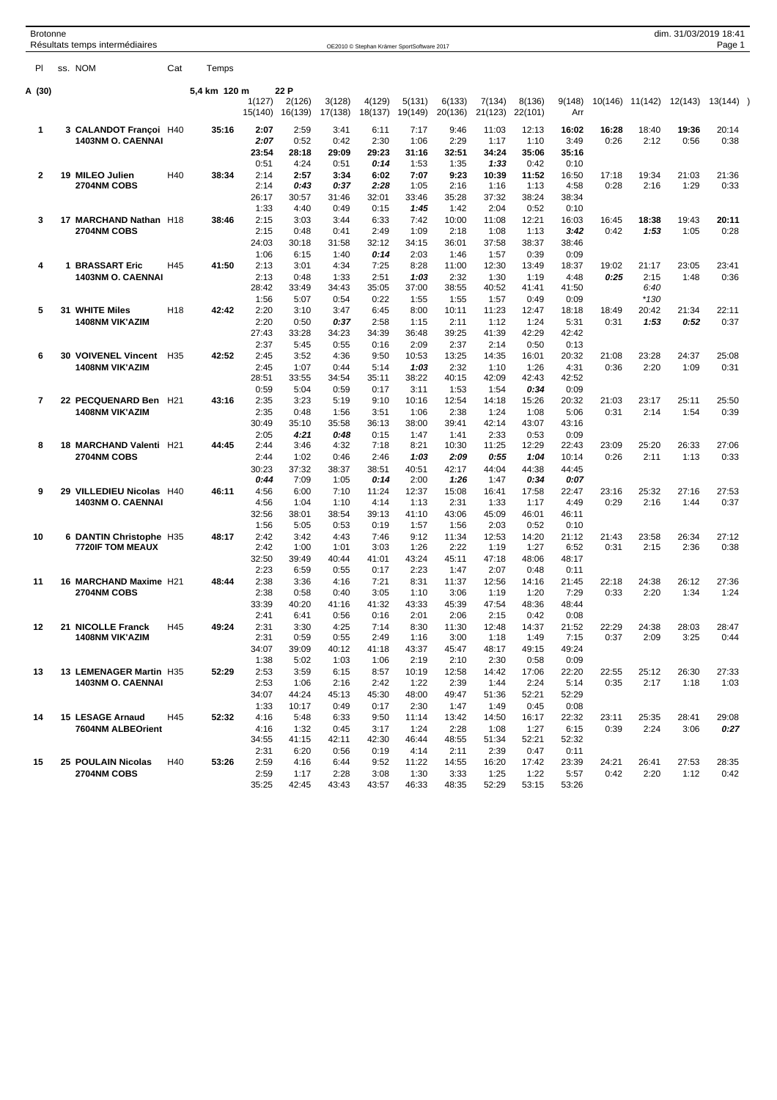| Brotonne<br>Résultats temps intermédiaires                    | OE2010 © Stephan Krämer SportSoftware 2017                                                                                                                                                                                                                                           | dim. 31/03/2019 18:41<br>Page 1                                |
|---------------------------------------------------------------|--------------------------------------------------------------------------------------------------------------------------------------------------------------------------------------------------------------------------------------------------------------------------------------|----------------------------------------------------------------|
| PI ss. NOM                                                    | Cat Temps                                                                                                                                                                                                                                                                            |                                                                |
| A (30)                                                        | 5,4 km 120 m 22 P<br>$1(127)$ $2(126)$<br>3(128) 4(129) 5(131) 6(133) 7(134) 8(136) 9(148) 10(146) 11(142) 12(143) 13(144) )                                                                                                                                                         |                                                                |
|                                                               | 15(140) 16(139) 17(138) 18(137) 19(149) 20(136) 21(123) 22(101)<br>Arr                                                                                                                                                                                                               |                                                                |
| 3 CALANDOT Françoi H40<br>$\overline{1}$<br>1403NM O. CAENNAI | 35:16<br>2:07<br>7:17<br>12:13<br>2:59<br>3:41<br>6:11<br>9:46<br>11:03<br>16:02<br>2:07<br>0:52<br>1:17<br>0:42<br>2:30<br>1:06<br>2:29<br>1:10<br>3:49<br>23:54<br>28:18<br>29:09<br>29:23<br>32:51<br>34:24<br>35:06<br>31:16<br>35:16                                            | 18:40<br>19:36 20:14<br>16:28<br>2:12<br>0:26<br>$0:56$ $0:38$ |
| 2 19 MILEO Julien                                             | 0:51<br>4:24<br>0:51<br>0:14<br>1:53<br>1:35<br>1:33<br>0:42<br>0:10<br>7:07<br>9:23<br>10:39<br>11:52<br>16:50<br>H40<br>38:34<br>2:14<br>2:57<br>3:34<br>6:02                                                                                                                      | 17:18<br>19:34<br>21:03 21:36                                  |
| <b>2704NM COBS</b>                                            | 0:37<br>2:28<br>1:05<br>1:13<br>4:58<br>2:14<br>0:43<br>2:16<br>1:16<br>37:32<br>26:17<br>30:57<br>32:01<br>33:46<br>35:28<br>38:24<br>31:46<br>38:34                                                                                                                                | 0:28<br>2:16<br>1:29 0:33                                      |
| 3 17 MARCHAND Nathan H18<br><b>2704NM COBS</b>                | 0:49<br>2:04<br>0:52<br>1:33<br>4:40<br>0:15<br>1:45<br>1:42<br>0:10<br>38:46<br>2:15<br>3:03<br>6:33<br>10:00<br>12:21<br>3:44<br>7:42<br>11:08<br>16:03<br>1:08<br>2:15<br>0:48<br>0:41<br>2:49<br>1:09<br>2:18<br>1:13<br>3:42                                                    | 18:38<br>19:43 20:11<br>16:45<br>1:53<br>$1:05$ $0:28$<br>0:42 |
|                                                               | 37:58<br>24:03<br>30:18<br>31:58<br>36:01<br>38:37<br>32:12<br>34:15<br>38:46<br>1:06<br>1:40<br>0:39<br>0:09<br>6:15<br>0:14<br>2:03<br>1:46<br>1:57                                                                                                                                |                                                                |
| 1 BRASSART Eric<br>4<br>1403NM O. CAENNAI                     | H45<br>12:30<br>41:50<br>2:13<br>3:01<br>4:34<br>7:25<br>8:28<br>11:00<br>13:49<br>18:37<br>1:33<br>2:32<br>2:13<br>0:48<br>2:51<br>1:03<br>1:30<br>1:19<br>4:48                                                                                                                     | 19:02<br>21:17<br>23:05 23:41<br>0:25<br>2:15<br>1:48 0:36     |
|                                                               | 28:42<br>34:43<br>38:55<br>40:52<br>33:49<br>35:05<br>37:00<br>41:41<br>41:50<br>5:07<br>0:54<br>0:22<br>1:55<br>1:56<br>1:55<br>1:57<br>0:49<br>0:09                                                                                                                                | 6:40<br>$*130$                                                 |
| 5 31 WHITE Miles<br>1408NM VIK'AZIM                           | H18<br>42:42<br>2:20<br>3:10<br>3:47<br>6:45<br>8:00<br>10:11<br>11:23<br>12:47<br>18:18<br>2:20<br>0:50<br>0:37<br>2:58<br>1:15<br>2:11<br>1:12<br>1:24<br>5:31                                                                                                                     | 20:42<br>21:34 22:11<br>18:49<br>0:31<br>1:53<br>$0:52$ 0:37   |
| 6 30 VOIVENEL Vincent H35                                     | 27:43<br>33:28<br>34:23<br>41:39<br>42:29<br>34:39<br>36:48<br>39:25<br>42:42<br>2:37<br>2:37<br>5:45<br>0:55<br>2:09<br>2:14<br>0:50<br>0:16<br>0:13<br>13:25<br>42:52<br>2:45<br>3:52<br>4:36<br>9:50<br>10:53<br>14:35<br>20:32                                                   | 21:08 23:28<br>24:37 25:08                                     |
| 1408NM VIK'AZIM                                               | 16:01<br>1:07<br>0:44<br>2:32<br>2:45<br>5:14<br>1:03<br>1:10<br>1:26<br>4:31<br>28:51<br>33:55<br>34:54<br>35:11<br>38:22<br>40:15<br>42:09<br>42:43<br>42:52                                                                                                                       | 2:20<br>0:36<br>1:09 0:31                                      |
| 22 PECQUENARD Ben H21<br>$\overline{7}$                       | 0:59<br>0:59<br>5:04<br>0:17<br>1:54<br>0:34<br>0:09<br>3:11<br>1:53<br>43:16<br>2:35<br>3:23<br>5:19<br>9:10<br>12:54<br>14:18<br>15:26<br>20:32<br>10:16                                                                                                                           | 23:17<br>25:11 25:50<br>21:03                                  |
| 1408NM VIK'AZIM                                               | 2:35<br>1:56<br>3:51<br>1:06<br>2:38<br>1:24<br>1:08<br>5:06<br>0:48<br>30:49<br>35:10<br>35:58<br>42:14<br>36:13<br>38:00<br>39:41<br>43:07<br>43:16                                                                                                                                | 1:54 0:39<br>0:31<br>2:14                                      |
| 18 MARCHAND Valenti H21                                       | 2:05<br>0:53<br>0:09<br>4:21<br>0:48<br>0:15<br>1:47<br>1:41<br>2:33<br>2:44<br>3:46<br>4:32<br>7:18<br>8:21<br>10:30<br>11:25<br>12:29<br>22:43<br>44:45                                                                                                                            | 25:20<br>26:33 27:06<br>23:09                                  |
| <b>2704NM COBS</b>                                            | 1:02<br>0:46<br>0:55<br>1:04<br>2:44<br>2:46<br>1:03<br>2:09<br>10:14<br>37:32<br>30:23<br>38:37<br>38:51<br>40:51<br>42:17<br>44:04<br>44:38<br>44:45<br>7:09                                                                                                                       | $1:13$ $0:33$<br>$0:26$ 2:11                                   |
| 9 29 VILLEDIEU Nicolas H40<br>1403NM O. CAENNAI               | 0:44<br>1:05<br>2:00<br>0:34<br>0:07<br>0:14<br>1:26<br>1:47<br>6:00<br>7:10<br>46:11<br>4:56<br>11:24<br>12:37<br>15:08<br>16:41<br>17:58<br>22:47<br>4:56<br>1:04<br>1:10<br>1:13<br>2:31<br>1:33<br>1:17<br>4:49<br>4:14                                                          | 23:16 25:32<br>27:16 27:53<br>0:29<br>2:16<br>$1:44$ 0:37      |
|                                                               | 32:56<br>38:01<br>38:54<br>39:13<br>41:10<br>43:06<br>45:09<br>46:01<br>46:11<br>1:56<br>0:52<br>5:05<br>0:53<br>0:19<br>1:57<br>1:56<br>2:03<br>0:10                                                                                                                                |                                                                |
| 10 6 DANTIN Christophe H35<br>7720IF TOM MEAUX                | 48:17<br>2:42<br>3:42<br>4:43<br>7:46<br>9:12<br>11:34<br>12:53<br>14:20<br>21:12<br>2:42<br>1:00<br>1:01<br>3:03<br>1:26<br>2:22<br>1:27<br>6:52<br>1:19                                                                                                                            | 26:34 27:12<br>21:43 23:58<br>0:31<br>2:15<br>2:36 0:38        |
|                                                               | 32:50<br>39:49<br>40:44<br>41:01<br>43:24<br>45:11<br>47:18<br>48:06<br>48:17<br>0:55<br>2:23<br>6:59<br>2:23<br>1:47<br>2:07<br>0:48<br>0:17<br>0:11                                                                                                                                |                                                                |
| 11 16 MARCHAND Maxime H21<br><b>2704NM COBS</b>               | 2:38<br>3:36<br>7:21<br>8:31<br>48:44<br>4:16<br>11:37<br>12:56<br>14:16<br>21:45<br>2:38<br>0:58<br>0:40<br>3:05<br>1:10<br>3:06<br>1:19<br>1:20<br>7:29                                                                                                                            | 24:38<br>22:18<br>26:12 27:36<br>0:33<br>2:20<br>$1:34$ $1:24$ |
|                                                               | 33:39<br>40:20<br>43:33<br>45:39<br>47:54<br>48:36<br>41:16<br>41:32<br>48:44<br>2:41<br>6:41<br>0:56<br>0:16<br>2:01<br>2:06<br>2:15<br>0:42<br>0:08                                                                                                                                |                                                                |
| 12 21 NICOLLE Franck H45<br>1408NM VIK'AZIM                   | 3:30<br>4:25<br>7:14 8:30 11:30 12:48 14:37 21:52 22:29 24:38 28:03 28:47<br>49:24<br>2:31<br>0:59<br>0:55<br>1:16 3:00<br>2:31<br>2:49<br>34:07 39:09 40:12 41:18 43:37 45:47 48:17 49:15<br>49:24                                                                                  | 1:18  1:49  7:15  0:37  2:09  3:25  0:44                       |
| 13 13 LEMENAGER Martin H35                                    | 1:38 5:02<br>1:03  1:06  2:19  2:10  2:30  0:58<br>0:09<br><b>52:29</b> 2:53 3:59<br>6:15 8:57 10:19 12:58 14:42 17:06 22:20 22:55 25:12 26:30 27:33                                                                                                                                 |                                                                |
| 1403NM O. CAENNAI                                             | 2:53 1:06<br>2:16<br>2:42 1:22 2:39 1:44 2:24 5:14 0:35 2:17 1:18 1:03<br>34:07  44:24  45:13  45:30  48:00  49:47  51:36  52:21  52:29                                                                                                                                              |                                                                |
| 14 15 LESAGE Arnaud H45                                       | 0:49  0:17  2:30  1:47  1:49  0:45<br>1:33  10:17<br>0:08<br>52:32 4:16 5:48 6:33 9:50 11:14 13:42 14:50 16:17 22:32 23:11 25:35 28:41 29:08                                                                                                                                         |                                                                |
| 7604NM ALBEOrient                                             | 0:45 3:17 1:24 2:28 1:08 1:27 6:15 0:39 2:24 3:06 0:27<br>4:16 1:32<br>34:55 41:15 42:11 42:30 46:44 48:55 51:34 52:21 52:32                                                                                                                                                         |                                                                |
| 2704NM COBS                                                   | 2:31 6:20 0:56 0:19 4:14 2:11 2:39 0:47 0:11<br>15 ORGREDBURGHERGER 25 H GYMPTELTER DIVERGEND HJZ ROLOGEN 19:24 REST. HTP 26: AH FEBLS DES RESTANS/EZBAL (7:26 PHILEPELER . 98 ZEZB5NA) (197 HBBNP286-2699BZHZ35<br>2:59 1:17 2:28 3:08 1:30 3:33 1:25 1:22 5:57 0:42 2:20 1:12 0:42 |                                                                |
|                                                               | 35:25  42:45  43:43  43:57  46:33  48:35  52:29  53:15  53:26                                                                                                                                                                                                                        |                                                                |
|                                                               |                                                                                                                                                                                                                                                                                      |                                                                |
|                                                               |                                                                                                                                                                                                                                                                                      |                                                                |
|                                                               |                                                                                                                                                                                                                                                                                      |                                                                |
|                                                               |                                                                                                                                                                                                                                                                                      |                                                                |
|                                                               |                                                                                                                                                                                                                                                                                      |                                                                |
|                                                               |                                                                                                                                                                                                                                                                                      |                                                                |
|                                                               |                                                                                                                                                                                                                                                                                      |                                                                |
|                                                               |                                                                                                                                                                                                                                                                                      |                                                                |
|                                                               |                                                                                                                                                                                                                                                                                      |                                                                |
|                                                               |                                                                                                                                                                                                                                                                                      |                                                                |
|                                                               |                                                                                                                                                                                                                                                                                      |                                                                |
|                                                               |                                                                                                                                                                                                                                                                                      |                                                                |
|                                                               |                                                                                                                                                                                                                                                                                      |                                                                |

**THE REAL ARE FRACKEDY ACREAGEMENT BH BACKER BOURDER SCALE (FRACKED ACREAGED ACREAGED THE TRACKED SOLUTION OF A START START ARE TRACKED AND THE TRACKED OF A START ARE START AND ARE TRACKED AND ARE START AND ARE STARTED AS**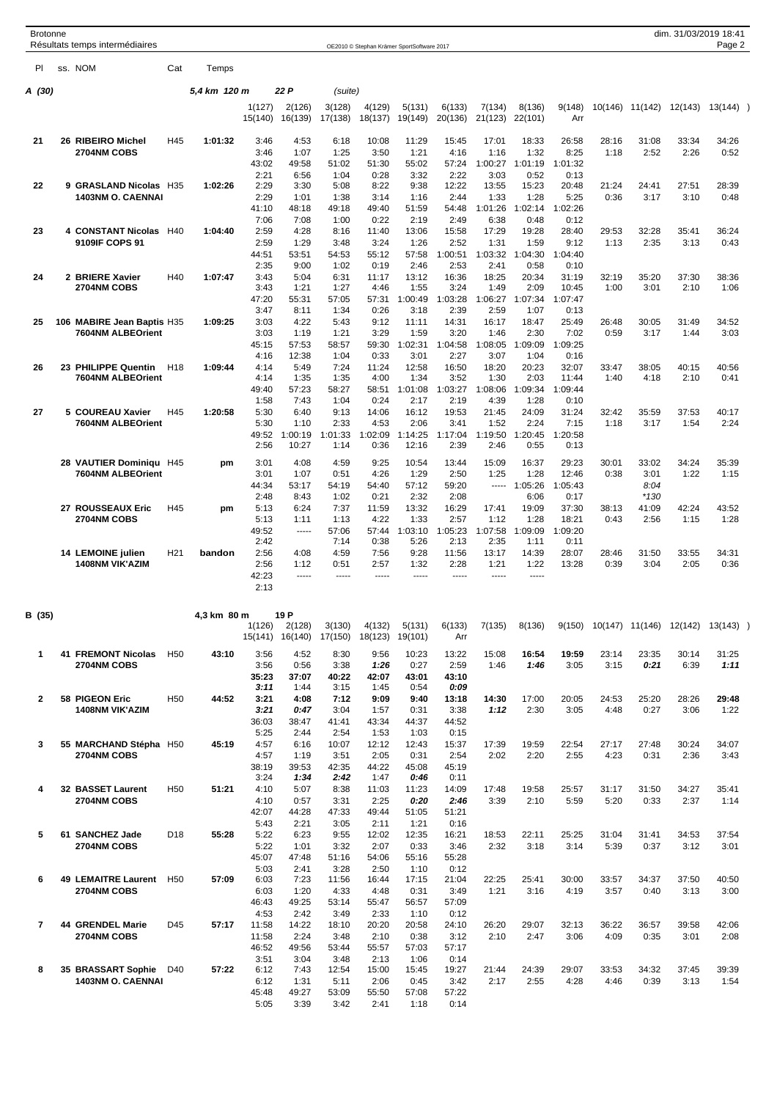| <b>Brotonne</b> |                                              |                 |              |                   |                           |                   |                                            |                   |                   |                   |                   |                 |               |               | dim. 31/03/2019 18:41             |               |  |
|-----------------|----------------------------------------------|-----------------|--------------|-------------------|---------------------------|-------------------|--------------------------------------------|-------------------|-------------------|-------------------|-------------------|-----------------|---------------|---------------|-----------------------------------|---------------|--|
|                 | Résultats temps intermédiaires<br>ss. NOM    |                 |              |                   |                           |                   | OE2010 © Stephan Krämer SportSoftware 2017 |                   |                   |                   |                   |                 |               |               |                                   | Page 2        |  |
| PI              |                                              | Cat             | Temps        |                   |                           |                   |                                            |                   |                   |                   |                   |                 |               |               |                                   |               |  |
| A (30)          |                                              |                 | 5,4 km 120 m |                   | 22 P                      | (suite)           |                                            |                   |                   |                   |                   |                 |               |               |                                   |               |  |
|                 |                                              |                 |              | 1(127)<br>15(140) | 2(126)<br>16(139)         | 3(128)<br>17(138) | 4(129)<br>18(137)                          | 5(131)<br>19(149) | 6(133)<br>20(136) | 7(134)<br>21(123) | 8(136)<br>22(101) | 9(148)<br>Arr   | 10(146)       | 11(142)       | 12(143)                           | $13(144)$ )   |  |
| 21              | 26 RIBEIRO Michel                            | H45             | 1:01:32      | 3:46              | 4:53                      | 6:18              | 10:08                                      | 11:29             | 15:45             | 17:01             | 18:33             | 26:58           | 28:16         | 31:08         | 33:34                             | 34:26         |  |
|                 | 2704NM COBS                                  |                 |              | 3:46              | 1:07                      | 1:25              | 3:50                                       | 1:21              | 4:16              | 1:16              | 1:32              | 8:25            | 1:18          | 2:52          | 2:26                              | 0:52          |  |
|                 |                                              |                 |              | 43:02<br>2:21     | 49:58<br>6:56             | 51:02<br>1:04     | 51:30<br>0:28                              | 55:02<br>3:32     | 57:24<br>2:22     | 1:00:27<br>3:03   | 1:01:19<br>0:52   | 1:01:32<br>0:13 |               |               |                                   |               |  |
| 22              | 9 GRASLAND Nicolas                           | H <sub>35</sub> | 1:02:26      | 2:29              | 3:30                      | 5:08              | 8:22                                       | 9:38              | 12:22             | 13:55             | 15:23             | 20:48           | 21:24         | 24:41         | 27:51                             | 28:39         |  |
|                 | <b>1403NM O. CAENNAI</b>                     |                 |              | 2:29              | 1:01                      | 1:38              | 3:14                                       | 1:16              | 2:44              | 1:33              | 1:28              | 5:25            | 0:36          | 3:17          | 3:10                              | 0:48          |  |
|                 |                                              |                 |              | 41:10<br>7:06     | 48:18<br>7:08             | 49:18<br>1:00     | 49:40<br>0:22                              | 51:59<br>2:19     | 54:48<br>2:49     | 1:01:26<br>6:38   | 1:02:14<br>0:48   | 1:02:26<br>0:12 |               |               |                                   |               |  |
| 23              | <b>4 CONSTANT Nicolas</b>                    | H40             | 1:04:40      | 2:59              | 4:28                      | 8:16              | 11:40                                      | 13:06             | 15:58             | 17:29             | 19:28             | 28:40           | 29:53         | 32:28         | 35:41                             | 36:24         |  |
|                 | 9109IF COPS 91                               |                 |              | 2:59              | 1:29                      | 3:48              | 3:24                                       | 1:26              | 2:52              | 1:31              | 1:59              | 9:12            | 1:13          | 2:35          | 3:13                              | 0:43          |  |
|                 |                                              |                 |              | 44:51<br>2:35     | 53:51<br>9:00             | 54:53<br>1:02     | 55:12<br>0:19                              | 57:58<br>2:46     | 1:00:51<br>2:53   | 1:03:32<br>2:41   | 1:04:30<br>0:58   | 1:04:40<br>0:10 |               |               |                                   |               |  |
| 24              | 2 BRIERE Xavier                              | H40             | 1:07:47      | 3:43              | 5:04                      | 6:31              | 11:17                                      | 13:12             | 16:36             | 18:25             | 20:34             | 31:19           | 32:19         | 35:20         | 37:30                             | 38:36         |  |
|                 | 2704NM COBS                                  |                 |              | 3:43              | 1:21                      | 1:27              | 4:46                                       | 1:55              | 3:24              | 1:49              | 2:09              | 10:45           | 1:00          | 3:01          | 2:10                              | 1:06          |  |
|                 |                                              |                 |              | 47:20<br>3:47     | 55:31<br>8:11             | 57:05<br>1:34     | 57:31<br>0:26                              | 1:00:49<br>3:18   | 1:03:28<br>2:39   | 1:06:27<br>2:59   | 1:07:34<br>1:07   | 1:07:47<br>0:13 |               |               |                                   |               |  |
| 25              | 106 MABIRE Jean Baptis H35                   |                 | 1:09:25      | 3:03              | 4:22                      | 5:43              | 9:12                                       | 11:11             | 14:31             | 16:17             | 18:47             | 25:49           | 26:48         | 30:05         | 31:49                             | 34:52         |  |
|                 | 7604NM ALBEOrient                            |                 |              | 3:03              | 1:19                      | 1:21              | 3:29                                       | 1:59              | 3:20              | 1:46              | 2:30              | 7:02            | 0:59          | 3:17          | 1:44                              | 3:03          |  |
|                 |                                              |                 |              | 45:15<br>4:16     | 57:53<br>12:38            | 58:57<br>1:04     | 59:30<br>0:33                              | 1:02:31<br>3:01   | 1:04:58<br>2:27   | 1:08:05<br>3:07   | 1:09:09<br>1:04   | 1:09:25<br>0:16 |               |               |                                   |               |  |
| 26              | 23 PHILIPPE Quentin                          | H <sub>18</sub> | 1:09:44      | 4:14              | 5:49                      | 7:24              | 11:24                                      | 12:58             | 16:50             | 18:20             | 20:23             | 32:07           | 33:47         | 38:05         | 40:15                             | 40:56         |  |
|                 | 7604NM ALBEOrient                            |                 |              | 4:14              | 1:35                      | 1:35              | 4:00                                       | 1:34              | 3:52              | 1:30              | 2:03              | 11:44           | 1:40          | 4:18          | 2:10                              | 0:41          |  |
|                 |                                              |                 |              | 49:40<br>1:58     | 57:23<br>7:43             | 58:27<br>1:04     | 58:51<br>0:24                              | 1:01:08<br>2:17   | 1:03:27<br>2:19   | 1:08:06<br>4:39   | 1:09:34<br>1:28   | 1:09:44<br>0:10 |               |               |                                   |               |  |
| 27              | 5 COUREAU Xavier                             | H45             | 1:20:58      | 5:30              | 6:40                      | 9:13              | 14:06                                      | 16:12             | 19:53             | 21:45             | 24:09             | 31:24           | 32:42         | 35:59         | 37:53                             | 40:17         |  |
|                 | 7604NM ALBEOrient                            |                 |              | 5:30              | 1:10                      | 2:33              | 4:53                                       | 2:06              | 3:41              | 1:52              | 2:24              | 7:15            | 1:18          | 3:17          | 1:54                              | 2:24          |  |
|                 |                                              |                 |              | 49:52<br>2:56     | 1:00:19<br>10:27          | 1:01:33<br>1:14   | 1:02:09<br>0:36                            | 1:14:25<br>12:16  | 1:17:04<br>2:39   | 1:19:50<br>2:46   | 1:20:45<br>0:55   | 1:20:58<br>0:13 |               |               |                                   |               |  |
|                 |                                              |                 |              |                   |                           |                   |                                            |                   |                   |                   |                   |                 |               |               |                                   |               |  |
|                 | 28 VAUTIER Dominiqu H45<br>7604NM ALBEOrient |                 | pm           | 3:01<br>3:01      | 4:08<br>1:07              | 4:59<br>0:51      | 9:25<br>4:26                               | 10:54<br>1:29     | 13:44<br>2:50     | 15:09<br>1:25     | 16:37<br>1:28     | 29:23<br>12:46  | 30:01<br>0:38 | 33:02<br>3:01 | 34:24<br>1:22                     | 35:39<br>1:15 |  |
|                 |                                              |                 |              | 44:34             | 53:17                     | 54:19             | 54:40                                      | 57:12             | 59:20             |                   | $--- 1:05:26$     | 1:05:43         |               | 8:04          |                                   |               |  |
|                 |                                              |                 |              | 2:48              | 8:43                      | 1:02              | 0:21                                       | 2:32              | 2:08              |                   | 6:06              | 0:17            |               | $*130$        |                                   |               |  |
|                 | 27 ROUSSEAUX Eric<br>2704NM COBS             | H45             | pm           | 5:13<br>5:13      | 6:24<br>1:11              | 7:37<br>1:13      | 11:59<br>4:22                              | 13:32<br>1:33     | 16:29<br>2:57     | 17:41<br>1:12     | 19:09<br>1:28     | 37:30<br>18:21  | 38:13<br>0:43 | 41:09<br>2:56 | 42:24<br>1:15                     | 43:52<br>1:28 |  |
|                 |                                              |                 |              | 49:52             | -----                     | 57:06             | 57:44                                      | 1:03:10           | 1:05:23           | 1:07:58           | 1:09:09           | 1:09:20         |               |               |                                   |               |  |
|                 |                                              |                 |              | 2:42              |                           | 7:14              | 0:38                                       | 5:26              | 2:13              | 2:35              | 1:11              | 0:11            |               |               |                                   |               |  |
|                 | 14 LEMOINE julien<br><b>1408NM VIK'AZIM</b>  | H <sub>21</sub> | bandon       | 2:56<br>2:56      | 4:08<br>1:12              | 4:59<br>0:51      | 7:56<br>2:57                               | 9:28<br>1:32      | 11:56<br>2:28     | 13:17<br>1:21     | 14:39<br>1:22     | 28:07<br>13:28  | 28:46<br>0:39 | 31:50<br>3:04 | 33:55<br>2:05                     | 34:31<br>0:36 |  |
|                 |                                              |                 |              | 42:23             | -----                     | -----             | -----                                      | -----             | -----             | -----             | -----             |                 |               |               |                                   |               |  |
|                 |                                              |                 |              | 2:13              |                           |                   |                                            |                   |                   |                   |                   |                 |               |               |                                   |               |  |
| B (35)          |                                              |                 | 4,3 km 80 m  |                   | 19 P                      |                   |                                            |                   |                   |                   |                   |                 |               |               |                                   |               |  |
|                 |                                              |                 |              | 1(126)            | 2(128)<br>15(141) 16(140) | 3(130)<br>17(150) | 4(132)<br>18(123)                          | 5(131)<br>19(101) | 6(133)<br>Arr     | 7(135)            | 8(136)            | 9(150)          |               |               | 10(147) 11(146) 12(142) 13(143) ) |               |  |
| 1               | <b>41 FREMONT Nicolas</b>                    | H <sub>50</sub> | 43:10        | 3:56              | 4:52                      | 8:30              | 9:56                                       | 10:23             | 13:22             | 15:08             | 16:54             | 19:59           | 23:14         | 23:35         | 30:14                             | 31:25         |  |
|                 | 2704NM COBS                                  |                 |              | 3:56              | 0:56                      | 3:38              | 1:26                                       | 0:27              | 2:59              | 1:46              | 1:46              | 3:05            | 3:15          | 0:21          | 6:39                              | 1:11          |  |
|                 |                                              |                 |              | 35:23<br>3:11     | 37:07<br>1:44             | 40:22<br>3:15     | 42:07<br>1:45                              | 43:01<br>0:54     | 43:10<br>0:09     |                   |                   |                 |               |               |                                   |               |  |
| $\overline{2}$  | 58 PIGEON Eric                               | H <sub>50</sub> | 44:52        | 3:21              | 4:08                      | 7:12              | 9:09                                       | 9:40              | 13:18             | 14:30             | 17:00             | 20:05           | 24:53         | 25:20         | 28:26                             | 29:48         |  |
|                 | <b>1408NM VIK'AZIM</b>                       |                 |              | 3:21              | 0:47                      | 3:04              | 1:57                                       | 0:31              | 3:38              | 1:12              | 2:30              | 3:05            | 4:48          | 0:27          | 3:06                              | 1:22          |  |
|                 |                                              |                 |              | 36:03<br>5:25     | 38:47<br>2:44             | 41:41<br>2:54     | 43:34<br>1:53                              | 44:37<br>1:03     | 44:52<br>0:15     |                   |                   |                 |               |               |                                   |               |  |
| 3               | 55 MARCHAND Stépha H50                       |                 | 45:19        | 4:57              | 6:16                      | 10:07             | 12:12                                      | 12:43             | 15:37             | 17:39             | 19:59             | 22:54           | 27:17         | 27:48         | 30:24                             | 34:07         |  |
|                 | 2704NM COBS                                  |                 |              | 4:57<br>38:19     | 1:19<br>39:53             | 3:51<br>42:35     | 2:05<br>44:22                              | 0:31<br>45:08     | 2:54<br>45:19     | 2:02              | 2:20              | 2:55            | 4:23          | 0:31          | 2:36                              | 3:43          |  |
|                 |                                              |                 |              | 3:24              | 1:34                      | 2:42              | 1:47                                       | 0:46              | 0:11              |                   |                   |                 |               |               |                                   |               |  |
| 4               | 32 BASSET Laurent                            | H <sub>50</sub> | 51:21        | 4:10              | 5:07                      | 8:38              | 11:03                                      | 11:23             | 14:09             | 17:48             | 19:58             | 25:57           | 31:17         | 31:50         | 34:27                             | 35:41         |  |
|                 | 2704NM COBS                                  |                 |              | 4:10<br>42:07     | 0:57<br>44:28             | 3:31<br>47:33     | 2:25<br>49:44                              | 0:20<br>51:05     | 2:46<br>51:21     | 3:39              | 2:10              | 5:59            | 5:20          | 0:33          | 2:37                              | 1:14          |  |
|                 |                                              |                 |              | 5:43              | 2:21                      | 3:05              | 2:11                                       | 1:21              | 0:16              |                   |                   |                 |               |               |                                   |               |  |
| 5               | 61 SANCHEZ Jade                              | D <sub>18</sub> | 55:28        | 5:22              | 6:23                      | 9:55              | 12:02                                      | 12:35             | 16:21             | 18:53             | 22:11             | 25:25           | 31:04         | 31:41         | 34:53                             | 37:54         |  |
|                 | 2704NM COBS                                  |                 |              | 5:22              | 1:01                      | 3:32              | 2:07                                       | 0:33              | 3:46              | 2:32              | 3:18              | 3:14            | 5:39          | 0:37          | 3:12                              | 3:01          |  |
|                 |                                              |                 |              | 45:07<br>5:03     | 47:48<br>2:41             | 51:16<br>3:28     | 54:06<br>2:50                              | 55:16<br>1:10     | 55:28<br>0:12     |                   |                   |                 |               |               |                                   |               |  |
| 6               | <b>49 LEMAITRE Laurent</b>                   | H <sub>50</sub> | 57:09        | 6:03              | 7:23                      | 11:56             | 16:44                                      | 17:15             | 21:04             | 22:25             | 25:41             | 30:00           | 33:57         | 34:37         | 37:50                             | 40:50         |  |
|                 | 2704NM COBS                                  |                 |              | 6:03              | 1:20                      | 4:33              | 4:48                                       | 0:31              | 3:49              | 1:21              | 3:16              | 4:19            | 3:57          | 0:40          | 3:13                              | 3:00          |  |
|                 |                                              |                 |              | 46:43<br>4:53     | 49:25<br>2:42             | 53:14<br>3:49     | 55:47<br>2:33                              | 56:57<br>1:10     | 57:09<br>0:12     |                   |                   |                 |               |               |                                   |               |  |
| $\overline{7}$  | <b>44 GRENDEL Marie</b>                      | D45             | 57:17        | 11:58             | 14:22                     | 18:10             | 20:20                                      | 20:58             | 24:10             | 26:20             | 29:07             | 32:13           | 36:22         | 36:57         | 39:58                             | 42:06         |  |
|                 | 2704NM COBS                                  |                 |              | 11:58             | 2:24                      | 3:48              | 2:10                                       | 0:38              | 3:12              | 2:10              | 2:47              | 3:06            | 4:09          | 0:35          | 3:01                              | 2:08          |  |
|                 |                                              |                 |              | 46:52<br>3:51     | 49:56<br>3:04             | 53:44<br>3:48     | 55:57<br>2:13                              | 57:03<br>1:06     | 57:17<br>0:14     |                   |                   |                 |               |               |                                   |               |  |
| 8               | 35 BRASSART Sophie                           | D40             | 57:22        | 6:12              | 7:43                      | 12:54             | 15:00                                      | 15:45             | 19:27             | 21:44             | 24:39             | 29:07           | 33:53         | 34:32         | 37:45                             | 39:39         |  |
|                 | 1403NM O. CAENNAI                            |                 |              | 6:12              | 1:31                      | 5:11              | 2:06                                       | 0:45              | 3:42              | 2:17              | 2:55              | 4:28            | 4:46          | 0:39          | 3:13                              | 1:54          |  |
|                 |                                              |                 |              | 45:48<br>5:05     | 49:27<br>3:39             | 53:09<br>3:42     | 55:50<br>2:41                              | 57:08<br>1:18     | 57:22<br>0:14     |                   |                   |                 |               |               |                                   |               |  |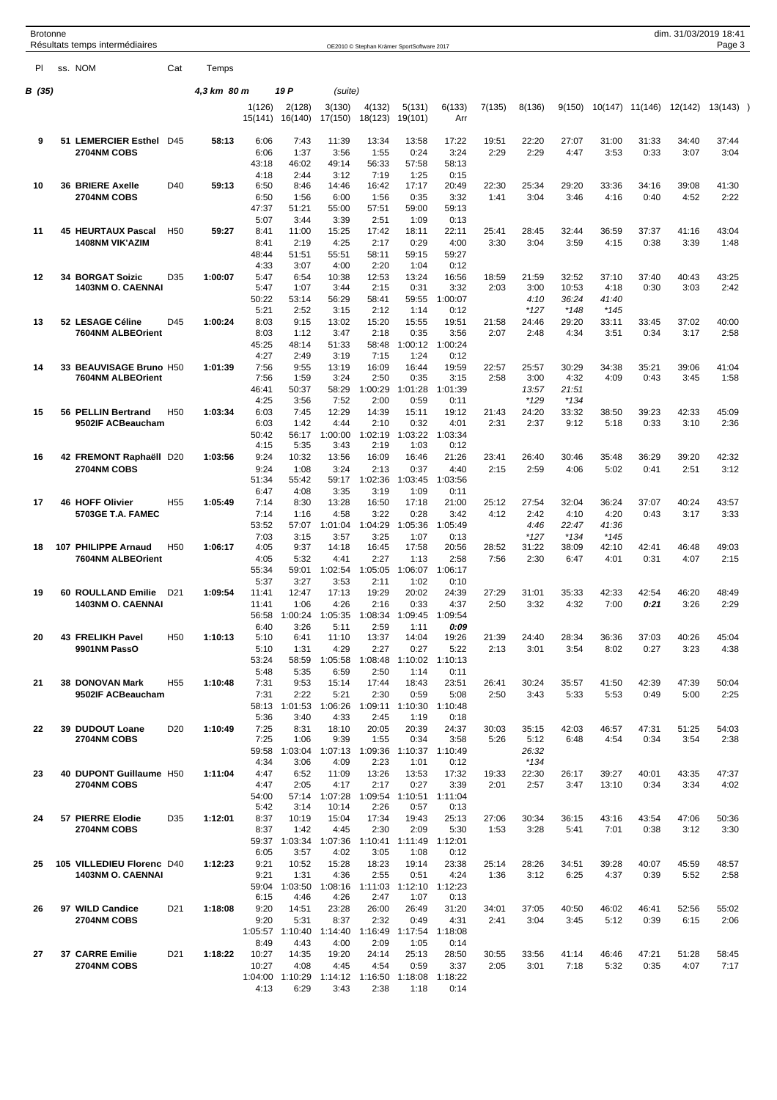| <b>Brotonne</b> |  |                                                |                 |             |                   |                         |                   |                                            |                                 |                 |               |                 |                 |               |                 |               | dim. 31/03/2019 18:41 |  |
|-----------------|--|------------------------------------------------|-----------------|-------------|-------------------|-------------------------|-------------------|--------------------------------------------|---------------------------------|-----------------|---------------|-----------------|-----------------|---------------|-----------------|---------------|-----------------------|--|
|                 |  | Résultats temps intermédiaires                 |                 |             |                   |                         |                   | OE2010 © Stephan Krämer SportSoftware 2017 |                                 |                 |               |                 |                 |               |                 |               | Page 3                |  |
| PI.             |  | ss. NOM                                        | Cat             | Temps       |                   |                         |                   |                                            |                                 |                 |               |                 |                 |               |                 |               |                       |  |
| B (35)          |  |                                                |                 | 4,3 km 80 m |                   | 19 P                    | (suite)           |                                            |                                 |                 |               |                 |                 |               |                 |               |                       |  |
|                 |  |                                                |                 |             |                   |                         |                   |                                            |                                 |                 |               |                 |                 |               |                 |               |                       |  |
|                 |  |                                                |                 |             | 1(126)<br>15(141) | 2(128)<br>16(140)       | 3(130)<br>17(150) | 4(132)<br>18(123)                          | 5(131)<br>19(101)               | 6(133)<br>Arr   | 7(135)        | 8(136)          | 9(150)          |               | 10(147) 11(146) | 12(142)       | $13(143)$ )           |  |
| 9               |  | 51 LEMERCIER Esthel                            | D45             | 58:13       | 6:06              | 7:43                    | 11:39             | 13:34                                      | 13:58                           | 17:22           | 19:51         | 22:20           | 27:07           | 31:00         | 31:33           | 34:40         | 37:44                 |  |
|                 |  | <b>2704NM COBS</b>                             |                 |             | 6:06              | 1:37                    | 3:56              | 1:55                                       | 0:24                            | 3:24            | 2:29          | 2:29            | 4:47            | 3:53          | 0:33            | 3:07          | 3:04                  |  |
|                 |  |                                                |                 |             | 43:18<br>4:18     | 46:02<br>2:44           | 49:14<br>3:12     | 56:33<br>7:19                              | 57:58<br>1:25                   | 58:13<br>0:15   |               |                 |                 |               |                 |               |                       |  |
| 10              |  | <b>36 BRIERE Axelle</b>                        | D40             | 59:13       | 6:50              | 8:46                    | 14:46             | 16:42                                      | 17:17                           | 20:49           | 22:30         | 25:34           | 29:20           | 33:36         | 34:16           | 39:08         | 41:30                 |  |
|                 |  | <b>2704NM COBS</b>                             |                 |             | 6:50              | 1:56                    | 6:00              | 1:56                                       | 0:35                            | 3:32            | 1:41          | 3:04            | 3:46            | 4:16          | 0:40            | 4:52          | 2:22                  |  |
|                 |  |                                                |                 |             | 47:37             | 51:21                   | 55:00             | 57:51                                      | 59:00                           | 59:13           |               |                 |                 |               |                 |               |                       |  |
| 11              |  | <b>45 HEURTAUX Pascal</b>                      | H <sub>50</sub> | 59:27       | 5:07<br>8:41      | 3:44<br>11:00           | 3:39<br>15:25     | 2:51<br>17:42                              | 1:09<br>18:11                   | 0:13<br>22:11   | 25:41         | 28:45           | 32:44           | 36:59         | 37:37           | 41:16         | 43:04                 |  |
|                 |  | <b>1408NM VIK'AZIM</b>                         |                 |             | 8:41              | 2:19                    | 4:25              | 2:17                                       | 0:29                            | 4:00            | 3:30          | 3:04            | 3:59            | 4:15          | 0:38            | 3:39          | 1:48                  |  |
|                 |  |                                                |                 |             | 48:44             | 51:51                   | 55:51             | 58:11                                      | 59:15                           | 59:27           |               |                 |                 |               |                 |               |                       |  |
| 12              |  | <b>34 BORGAT Soizic</b>                        | D35             | 1:00:07     | 4:33<br>5:47      | 3:07<br>6:54            | 4:00<br>10:38     | 2:20<br>12:53                              | 1:04<br>13:24                   | 0:12<br>16:56   | 18:59         | 21:59           | 32:52           | 37:10         | 37:40           | 40:43         | 43:25                 |  |
|                 |  | <b>1403NM O. CAENNAI</b>                       |                 |             | 5:47              | 1:07                    | 3:44              | 2:15                                       | 0:31                            | 3:32            | 2:03          | 3:00            | 10:53           | 4:18          | 0:30            | 3:03          | 2:42                  |  |
|                 |  |                                                |                 |             | 50:22             | 53:14                   | 56:29             | 58:41                                      | 59:55                           | 1:00:07         |               | 4:10            | 36:24           | 41:40         |                 |               |                       |  |
|                 |  |                                                |                 |             | 5:21              | 2:52                    | 3:15              | 2:12                                       | 1:14                            | 0:12            |               | $*127$          | $*148$          | $*145$        |                 |               |                       |  |
| 13              |  | 52 LESAGE Céline<br>7604NM ALBEOrient          | D45             | 1:00:24     | 8:03<br>8:03      | 9:15<br>1:12            | 13:02<br>3:47     | 15:20<br>2:18                              | 15:55<br>0:35                   | 19:51<br>3:56   | 21:58<br>2:07 | 24:46<br>2:48   | 29:20<br>4:34   | 33:11<br>3:51 | 33:45<br>0:34   | 37:02<br>3:17 | 40:00<br>2:58         |  |
|                 |  |                                                |                 | 45:25       | 48:14             | 51:33                   | 58:48             | 1:00:12                                    | 1:00:24                         |                 |               |                 |                 |               |                 |               |                       |  |
|                 |  |                                                |                 |             | 4:27              | 2:49                    | 3:19              | 7:15                                       | 1:24                            | 0:12            |               |                 |                 |               |                 |               |                       |  |
| 14              |  | 33 BEAUVISAGE Bruno H50                        |                 | 1:01:39     | 7:56              | 9:55                    | 13:19             | 16:09                                      | 16:44                           | 19:59           | 22:57         | 25:57           | 30:29           | 34:38         | 35:21           | 39:06         | 41:04                 |  |
|                 |  | 7604NM ALBEOrient                              |                 |             | 7:56<br>46:41     | 1:59<br>50:37           | 3:24<br>58:29     | 2:50<br>1:00:29                            | 0:35<br>1:01:28                 | 3:15<br>1:01:39 | 2:58          | 3:00<br>13:57   | 4:32<br>21:51   | 4:09          | 0:43            | 3:45          | 1:58                  |  |
|                 |  |                                                |                 |             | 4:25              | 3:56                    | 7:52              | 2:00                                       | 0:59                            | 0:11            |               | $*129$          | *134            |               |                 |               |                       |  |
| 15              |  | 56 PELLIN Bertrand                             | H <sub>50</sub> | 1:03:34     | 6:03              | 7:45                    | 12:29             | 14:39                                      | 15:11                           | 19:12           | 21:43         | 24:20           | 33:32           | 38:50         | 39:23           | 42:33         | 45:09                 |  |
|                 |  | 9502IF ACBeaucham                              |                 |             | 6:03              | 1:42                    | 4:44              | 2:10                                       | 0:32                            | 4:01            | 2:31          | 2:37            | 9:12            | 5:18          | 0:33            | 3:10          | 2:36                  |  |
|                 |  |                                                |                 |             | 50:42<br>4:15     | 56:17<br>5:35           | 1:00:00<br>3:43   | 1:02:19<br>2:19                            | 1:03:22<br>1:03                 | 1:03:34<br>0:12 |               |                 |                 |               |                 |               |                       |  |
| 16              |  | 42 FREMONT Raphaëll D20                        |                 | 1:03:56     | 9:24              | 10:32                   | 13:56             | 16:09                                      | 16:46                           | 21:26           | 23:41         | 26:40           | 30:46           | 35:48         | 36:29           | 39:20         | 42:32                 |  |
|                 |  | 2704NM COBS                                    |                 |             | 9:24              | 1:08                    | 3:24              | 2:13                                       | 0:37                            | 4:40            | 2:15          | 2:59            | 4:06            | 5:02          | 0:41            | 2:51          | 3:12                  |  |
|                 |  |                                                |                 |             | 51:34             | 55:42                   | 59:17             | 1:02:36                                    | 1:03:45                         | 1:03:56         |               |                 |                 |               |                 |               |                       |  |
| 17              |  | <b>46 HOFF Olivier</b>                         | H <sub>55</sub> | 1:05:49     | 6:47<br>7:14      | 4:08<br>8:30            | 3:35<br>13:28     | 3:19<br>16:50                              | 1:09<br>17:18                   | 0:11<br>21:00   | 25:12         | 27:54           | 32:04           | 36:24         | 37:07           | 40:24         | 43:57                 |  |
|                 |  | 5703GE T.A. FAMEC                              |                 |             | 7:14              | 1:16                    | 4:58              | 3:22                                       | 0:28                            | 3:42            | 4:12          | 2:42            | 4:10            | 4:20          | 0:43            | 3:17          | 3:33                  |  |
|                 |  |                                                |                 |             | 53:52             | 57:07                   | 1:01:04           | 1:04:29                                    | 1:05:36                         | 1:05:49         |               | 4:46            | 22:47           | 41:36         |                 |               |                       |  |
|                 |  | 107 PHILIPPE Arnaud                            | H <sub>50</sub> |             | 7:03              | 3:15<br>9:37            | 3:57              | 3:25<br>16:45                              | 1:07<br>17:58                   | 0:13            |               | $*127$          | $*134$<br>38:09 | $*145$        |                 |               | 49:03                 |  |
| 18              |  | 7604NM ALBEOrient                              |                 | 1:06:17     | 4:05<br>4:05      | 5:32                    | 14:18<br>4:41     | 2:27                                       | 1:13                            | 20:56<br>2:58   | 28:52<br>7:56 | 31:22<br>2:30   | 6:47            | 42:10<br>4:01 | 42:41<br>0:31   | 46:48<br>4:07 | 2:15                  |  |
|                 |  |                                                |                 |             | 55:34             | 59:01                   | 1:02:54           | 1:05:05                                    |                                 | 1:06:07 1:06:17 |               |                 |                 |               |                 |               |                       |  |
|                 |  |                                                |                 |             | 5:37              | 3:27                    | 3:53              | 2:11                                       | 1:02                            | 0:10            |               |                 |                 |               |                 |               |                       |  |
| 19              |  | 60 ROULLAND Emilie<br><b>1403NM O. CAENNAI</b> | D <sub>21</sub> | 1:09:54     | 11:41<br>11:41    | 12:47<br>1:06           | 17:13<br>4:26     | 19:29<br>2:16                              | 20:02<br>0:33                   | 24:39<br>4:37   | 27:29<br>2:50 | 31:01<br>3:32   | 35:33<br>4:32   | 42:33<br>7:00 | 42:54<br>0:21   | 46:20<br>3:26 | 48:49<br>2:29         |  |
|                 |  |                                                |                 |             | 56:58             | 1:00:24                 | 1:05:35           | 1:08:34                                    | 1:09:45                         | 1:09:54         |               |                 |                 |               |                 |               |                       |  |
|                 |  |                                                |                 |             | 6:40              | 3:26                    | 5:11              | 2:59                                       | 1:11                            | 0:09            |               |                 |                 |               |                 |               |                       |  |
| 20              |  | <b>43 FRELIKH Pavel</b><br>9901NM PassO        | H <sub>50</sub> | 1:10:13     | 5:10<br>5:10      | 6:41<br>1:31            | 11:10<br>4:29     | 13:37<br>2:27                              | 14:04<br>0:27                   | 19:26<br>5:22   | 21:39<br>2:13 | 24:40<br>3:01   | 28:34<br>3:54   | 36:36<br>8:02 | 37:03<br>0:27   | 40:26<br>3:23 | 45:04<br>4:38         |  |
|                 |  |                                                |                 |             | 53:24             | 58:59                   | 1:05:58           | 1:08:48                                    | 1:10:02                         | 1:10:13         |               |                 |                 |               |                 |               |                       |  |
|                 |  |                                                |                 |             | 5:48              | 5:35                    | 6:59              | 2:50                                       | 1:14                            | 0:11            |               |                 |                 |               |                 |               |                       |  |
| 21              |  | 38 DONOVAN Mark                                | H <sub>55</sub> | 1:10:48     | 7:31              | 9:53                    | 15:14             | 17:44                                      | 18:43                           | 23:51           | 26:41         | 30:24           | 35:57           | 41:50         | 42:39           | 47:39         | 50:04                 |  |
|                 |  | 9502IF ACBeaucham                              |                 |             | 7:31<br>58:13     | 2:22<br>1:01:53         | 5:21<br>1:06:26   | 2:30<br>1:09:11                            | 0:59<br>1:10:30                 | 5:08<br>1:10:48 | 2:50          | 3:43            | 5:33            | 5:53          | 0:49            | 5:00          | 2:25                  |  |
|                 |  |                                                |                 |             | 5:36              | 3:40                    | 4:33              | 2:45                                       | 1:19                            | 0:18            |               |                 |                 |               |                 |               |                       |  |
| 22              |  | 39 DUDOUT Loane                                | D <sub>20</sub> | 1:10:49     | 7:25              | 8:31                    | 18:10             | 20:05                                      | 20:39                           | 24:37           | 30:03         | 35:15           | 42:03           | 46:57         | 47:31           | 51:25         | 54:03                 |  |
|                 |  | 2704NM COBS                                    |                 |             | 7:25              | 1:06                    | 9:39              | 1:55                                       | 0:34                            | 3:58            | 5:26          | 5:12            | 6:48            | 4:54          | 0:34            | 3:54          | 2:38                  |  |
|                 |  |                                                |                 |             | 59:58<br>4:34     | 1:03:04<br>3:06         | 1:07:13<br>4:09   | 1:09:36<br>2:23                            | 1:10:37 1:10:49<br>1:01         | 0:12            |               | 26:32<br>$*134$ |                 |               |                 |               |                       |  |
| 23              |  | 40 DUPONT Guillaume H50                        |                 | 1:11:04     | 4:47              | 6:52                    | 11:09             | 13:26                                      | 13:53                           | 17:32           | 19:33         | 22:30           | 26:17           | 39:27         | 40:01           | 43:35         | 47:37                 |  |
|                 |  | 2704NM COBS                                    |                 |             | 4:47              | 2:05                    | 4:17              | 2:17                                       | 0:27                            | 3:39            | 2:01          | 2:57            | 3:47            | 13:10         | 0:34            | 3:34          | 4:02                  |  |
|                 |  |                                                |                 |             | 54:00<br>5:42     | 57:14<br>3:14           | 1:07:28<br>10:14  | 2:26                                       | 1:09:54 1:10:51 1:11:04<br>0:57 | 0:13            |               |                 |                 |               |                 |               |                       |  |
| 24              |  | 57 PIERRE Elodie                               | D <sub>35</sub> | 1:12:01     | 8:37              | 10:19                   | 15:04             | 17:34                                      | 19:43                           | 25:13           | 27:06         | 30:34           | 36:15           | 43:16         | 43:54           | 47:06         | 50:36                 |  |
|                 |  | 2704NM COBS                                    |                 |             | 8:37              | 1:42                    | 4:45              | 2:30                                       | 2:09                            | 5:30            | 1:53          | 3:28            | 5:41            | 7:01          | 0:38            | 3:12          | 3:30                  |  |
|                 |  |                                                |                 |             |                   | 59:37 1:03:34           | 1:07:36           |                                            | 1:10:41 1:11:49                 | 1:12:01         |               |                 |                 |               |                 |               |                       |  |
| 25              |  | 105 VILLEDIEU Florenc D40                      |                 | 1:12:23     | 6:05<br>9:21      | 3:57<br>10:52           | 4:02<br>15:28     | 3:05<br>18:23                              | 1:08<br>19:14                   | 0:12<br>23:38   | 25:14         | 28:26           | 34:51           | 39:28         | 40:07           | 45:59         | 48:57                 |  |
|                 |  | 1403NM O. CAENNAI                              |                 |             | 9:21              | 1:31                    | 4:36              | 2:55                                       | 0:51                            | 4:24            | 1:36          | 3:12            | 6:25            | 4:37          | 0:39            | 5:52          | 2:58                  |  |
|                 |  |                                                |                 |             | 59:04             | 1:03:50                 | 1:08:16           | 1:11:03                                    | 1:12:10                         | 1:12:23         |               |                 |                 |               |                 |               |                       |  |
|                 |  |                                                |                 |             | 6:15              | 4:46                    | 4:26              | 2:47                                       | 1:07                            | 0:13            |               |                 |                 |               |                 |               |                       |  |
| 26              |  | 97 WILD Candice<br>2704NM COBS                 | D <sub>21</sub> | 1:18:08     | 9:20<br>9:20      | 14:51<br>5:31           | 23:28<br>8:37     | 26:00<br>2:32                              | 26:49<br>0:49                   | 31:20<br>4:31   | 34:01<br>2:41 | 37:05<br>3:04   | 40:50<br>3:45   | 46:02<br>5:12 | 46:41<br>0:39   | 52:56<br>6:15 | 55:02<br>2:06         |  |
|                 |  |                                                |                 |             |                   | 1:05:57 1:10:40         | 1:14:40           | 1:16:49                                    | 1:17:54                         | 1:18:08         |               |                 |                 |               |                 |               |                       |  |
|                 |  |                                                |                 |             | 8:49              | 4:43                    | 4:00              | 2:09                                       | 1:05                            | 0:14            |               |                 |                 |               |                 |               |                       |  |
| 27              |  | 37 CARRE Emilie                                | D <sub>21</sub> | 1:18:22     | 10:27             | 14:35                   | 19:20             | 24:14                                      | 25:13                           | 28:50           | 30:55         | 33:56           | 41:14           | 46:46         | 47:21           | 51:28         | 58:45                 |  |
|                 |  | 2704NM COBS                                    |                 |             | 10:27             | 4:08<br>1:04:00 1:10:29 | 4:45<br>1:14:12   | 4:54<br>1:16:50                            | 0:59<br>1:18:08                 | 3:37<br>1:18:22 | 2:05          | 3:01            | 7:18            | 5:32          | 0:35            | 4:07          | 7:17                  |  |
|                 |  |                                                |                 |             | 4:13              | 6:29                    | 3:43              | 2:38                                       | 1:18                            | 0:14            |               |                 |                 |               |                 |               |                       |  |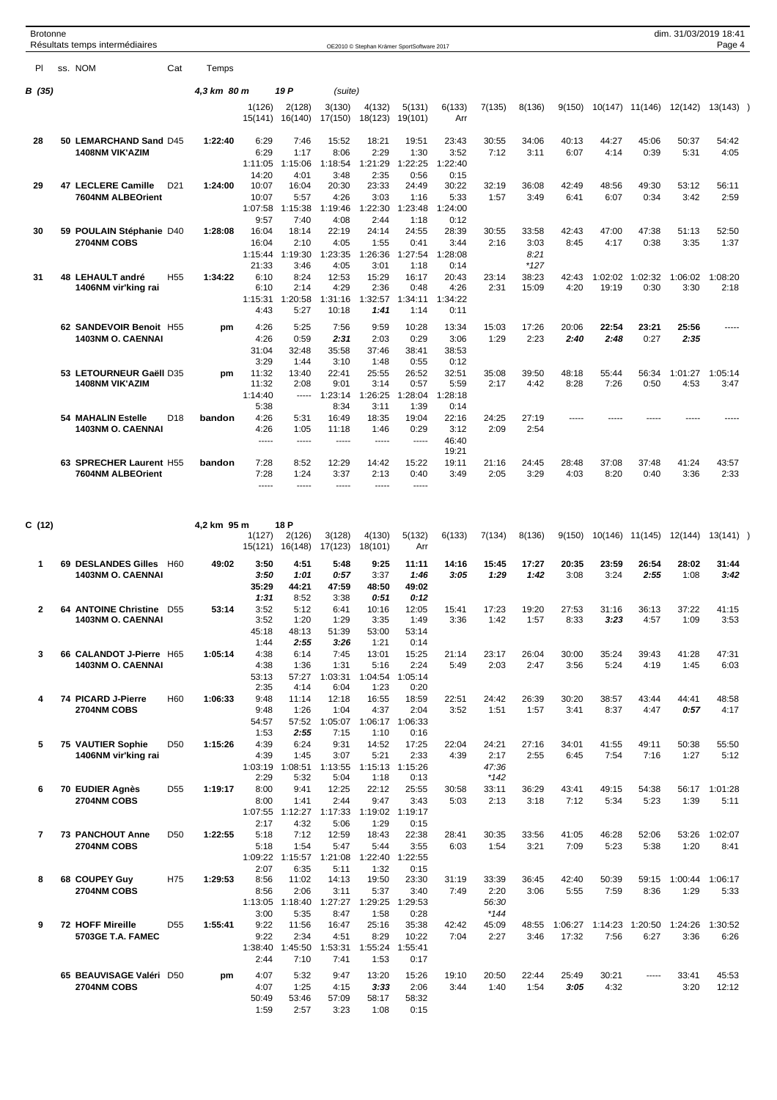| <b>Brotonne</b> | Résultats temps intermédiaires                        |                            |                                          |                                                 |                                           | OE2010 © Stephan Krämer SportSoftware 2017 |                                                  |                                          |                                  |                          |                  |                 |                         | dim. 31/03/2019 18:41 | Page 4          |  |
|-----------------|-------------------------------------------------------|----------------------------|------------------------------------------|-------------------------------------------------|-------------------------------------------|--------------------------------------------|--------------------------------------------------|------------------------------------------|----------------------------------|--------------------------|------------------|-----------------|-------------------------|-----------------------|-----------------|--|
| PI.             | ss. NOM                                               | Cat<br>Temps               |                                          |                                                 |                                           |                                            |                                                  |                                          |                                  |                          |                  |                 |                         |                       |                 |  |
| B (35)          |                                                       | 4,3 km 80 m                |                                          | 19 P                                            | (suite)                                   |                                            |                                                  |                                          |                                  |                          |                  |                 |                         |                       |                 |  |
|                 |                                                       |                            | 1(126)<br>15(141)                        | 2(128)<br>16(140)                               | 3(130)<br>17(150)                         | 4(132)<br>18(123)                          | 5(131)<br>19(101)                                | 6(133)<br>Arr                            | 7(135)                           | 8(136)                   | 9(150)           | 10(147) 11(146) |                         | 12(142)               | $13(143)$ )     |  |
| 28              | 50 LEMARCHAND Sand D45<br><b>1408NM VIK'AZIM</b>      | 1:22:40                    | 6:29<br>6:29<br>1:11:05                  | 7:46<br>1:17<br>1:15:06                         | 15:52<br>8:06<br>1:18:54                  | 18:21<br>2:29<br>1:21:29                   | 19:51<br>1:30<br>1:22:25                         | 23:43<br>3:52<br>1:22:40                 | 30:55<br>7:12                    | 34:06<br>3:11            | 40:13<br>6:07    | 44:27<br>4:14   | 45:06<br>0:39           | 50:37<br>5:31         | 54:42<br>4:05   |  |
| 29              | 47 LECLERE Camille<br>7604NM ALBEOrient               | 1:24:00<br>D <sub>21</sub> | 14:20<br>10:07<br>10:07<br>1:07:58       | 4:01<br>16:04<br>5:57<br>1:15:38                | 3:48<br>20:30<br>4:26<br>1:19:46          | 2:35<br>23:33<br>3:03<br>1:22:30           | 0:56<br>24:49<br>1:16<br>1:23:48                 | 0:15<br>30:22<br>5:33<br>1:24:00         | 32:19<br>1:57                    | 36:08<br>3:49            | 42:49<br>6:41    | 48:56<br>6:07   | 49:30<br>0:34           | 53:12<br>3:42         | 56:11<br>2:59   |  |
| 30              | 59 POULAIN Stéphanie D40<br><b>2704NM COBS</b>        | 1:28:08                    | 9:57<br>16:04<br>16:04<br>1:15:44        | 7:40<br>18:14<br>2:10<br>1:19:30                | 4:08<br>22:19<br>4:05<br>1:23:35          | 2:44<br>24:14<br>1:55<br>1:26:36           | 1:18<br>24:55<br>0:41<br>1:27:54                 | 0:12<br>28:39<br>3:44<br>1:28:08         | 30:55<br>2:16                    | 33:58<br>3:03<br>8:21    | 42:43<br>8:45    | 47:00<br>4:17   | 47:38<br>0:38           | 51:13<br>3:35         | 52:50<br>1:37   |  |
| 31              | 48 LEHAULT andré<br>1406NM vir'king rai               | H <sub>55</sub><br>1:34:22 | 21:33<br>6:10<br>6:10<br>1:15:31<br>4:43 | 3:46<br>8:24<br>2:14<br>1:20:58<br>5:27         | 4:05<br>12:53<br>4:29<br>1:31:16<br>10:18 | 3:01<br>15:29<br>2:36<br>1:32:57<br>1:41   | 1:18<br>16:17<br>0:48<br>1:34:11<br>1:14         | 0:14<br>20:43<br>4:26<br>1:34:22<br>0:11 | 23:14<br>2:31                    | $*127$<br>38:23<br>15:09 | 42:43<br>4:20    | 19:19           | 1:02:02 1:02:32<br>0:30 | 1:06:02<br>3:30       | 1:08:20<br>2:18 |  |
|                 | 62 SANDEVOIR Benoit H55<br><b>1403NM O. CAENNAI</b>   | pm                         | 4:26<br>4:26<br>31:04<br>3:29            | 5:25<br>0:59<br>32:48<br>1:44                   | 7:56<br>2:31<br>35:58<br>3:10             | 9:59<br>2:03<br>37:46<br>1:48              | 10:28<br>0:29<br>38:41<br>0:55                   | 13:34<br>3:06<br>38:53<br>0:12           | 15:03<br>1:29                    | 17:26<br>2:23            | 20:06<br>2:40    | 22:54<br>2:48   | 23:21<br>0:27           | 25:56<br>2:35         | -----           |  |
|                 | 53 LETOURNEUR Gaëll D35<br><b>1408NM VIK'AZIM</b>     | pm                         | 11:32<br>11:32<br>1:14:40<br>5:38        | 13:40<br>2:08<br>-----                          | 22:41<br>9:01<br>1:23:14<br>8:34          | 25:55<br>3:14<br>1:26:25<br>3:11           | 26:52<br>0:57<br>1:28:04<br>1:39                 | 32:51<br>5:59<br>1:28:18<br>0:14         | 35:08<br>2:17                    | 39:50<br>4:42            | 48:18<br>8:28    | 55:44<br>7:26   | 56:34<br>0:50           | 1:01:27<br>4:53       | 1:05:14<br>3:47 |  |
|                 | <b>54 MAHALIN Estelle</b><br><b>1403NM O. CAENNAI</b> | D <sub>18</sub><br>bandon  | 4:26<br>4:26<br>1.1.1.1                  | 5:31<br>1:05<br>$- - - - -$                     | 16:49<br>11:18<br>$- - - - -$             | 18:35<br>1:46<br>$- - - - -$               | 19:04<br>0:29<br>$- - - - -$                     | 22:16<br>3:12<br>46:40<br>19:21          | 24:25<br>2:09                    | 27:19<br>2:54            | -----            | -----           |                         |                       |                 |  |
|                 | 63 SPRECHER Laurent H55<br>7604NM ALBEOrient          | bandon                     | 7:28<br>7:28<br>$- - - - -$              | 8:52<br>1:24<br>$- - - - -$                     | 12:29<br>3:37<br>$- - - - -$              | 14:42<br>2:13<br>-----                     | 15:22<br>0:40<br>$- - - - -$                     | 19:11<br>3:49                            | 21:16<br>2:05                    | 24:45<br>3:29            | 28:48<br>4:03    | 37:08<br>8:20   | 37:48<br>0:40           | 41:24<br>3:36         | 43:57<br>2:33   |  |
| C (12)          |                                                       | 4,2 km 95 m                |                                          | 18 P                                            |                                           |                                            |                                                  |                                          |                                  |                          |                  |                 |                         |                       |                 |  |
|                 |                                                       |                            | 1(127)<br>15(121)                        | 2(126)<br>16(148)                               | 3(128)<br>17(123)                         | 4(130)<br>18(101)                          | 5(132)<br>Arr                                    | 6(133)                                   | 7(134)                           | 8(136)                   | 9(150)           | 10(146) 11(145) |                         | 12(144)               | 13(141)         |  |
| 1               | 69 DESLANDES Gilles<br><b>1403NM O. CAENNAI</b>       | H60<br>49:02               | 3:50<br>3:50<br>35:29<br>1:31            | 4:51<br>1:01<br>44:21<br>8:52                   | 5:48<br>0:57<br>47:59<br>3:38             | 9:25<br>3:37<br>48:50<br>0:51              | 11:11<br>1:46<br>49:02<br>0:12                   | 14:16<br>3:05                            | 15:45<br>1:29                    | 17:27<br>1:42            | 20:35<br>3:08    | 23:59<br>3:24   | 26:54<br>2:55           | 28:02<br>1:08         | 31:44<br>3:42   |  |
| 2               | 64 ANTOINE Christine<br><b>1403NM O. CAENNAI</b>      | D <sub>55</sub><br>53:14   | 3:52<br>3:52<br>45:18<br>1:44            | 5:12<br>1:20<br>48:13<br>2:55                   | 6:41<br>1:29<br>51:39<br>3:26             | 10:16<br>3:35<br>53:00<br>1:21             | 12:05<br>1:49<br>53:14<br>0:14                   | 15:41<br>3:36                            | 17:23<br>1:42                    | 19:20<br>1:57            | 27:53<br>8:33    | 31:16<br>3:23   | 36:13<br>4:57           | 37:22<br>1:09         | 41:15<br>3:53   |  |
| 3               | 66 CALANDOT J-Pierre H65<br>1403NM O. CAENNAI         | 1:05:14                    | 4:38<br>4:38<br>53:13<br>2:35            | 6:14<br>1:36<br>57:27<br>4:14                   | 7:45<br>1:31<br>1:03:31<br>6:04           | 13:01<br>5:16<br>1:23                      | 15:25<br>2:24<br>1:04:54 1:05:14<br>0:20         | 21:14<br>5:49                            | 23:17<br>2:03                    | 26:04<br>2:47            | 30:00<br>3:56    | 35:24<br>5:24   | 39:43<br>4:19           | 41:28<br>1:45         | 47:31<br>6:03   |  |
| 4               | 74 PICARD J-Pierre<br>2704NM COBS                     | H <sub>60</sub><br>1:06:33 | 9:48<br>9:48<br>54:57<br>1:53            | 11:14<br>1:26<br>2:55                           | 12:18<br>1:04<br>57:52 1:05:07<br>7:15    | 16:55<br>4:37<br>1:10                      | 18:59<br>2:04<br>1:06:17 1:06:33<br>0:16         | 22:51<br>3:52                            | 24:42<br>1:51                    | 26:39<br>1:57            | 30:20<br>3:41    | 38:57<br>8:37   | 43:44<br>4:47           | 44:41<br>0:57         | 48:58<br>4:17   |  |
| 5               | 75 VAUTIER Sophie<br>1406NM vir'king rai              | 1:15:26<br>D <sub>50</sub> | 4:39<br>4:39<br>1:03:19                  | 6:24<br>1:45<br>1:08:51                         | 9:31<br>3:07<br>1:13:55                   | 14:52<br>5:21                              | 17:25<br>2:33<br>1:15:13 1:15:26                 | 22:04<br>4:39                            | 24:21<br>2:17<br>47:36           | 27:16<br>2:55            | 34:01<br>6:45    | 41:55<br>7:54   | 49:11<br>7:16           | 50:38<br>1:27         | 55:50<br>5:12   |  |
| 6               | 70 EUDIER Agnès<br>2704NM COBS                        | D <sub>55</sub><br>1:19:17 | 2:29<br>8:00<br>8:00<br>1:07:55          | 5:32<br>9:41<br>1:41<br>1:12:27                 | 5:04<br>12:25<br>2:44<br>1:17:33          | 1:18<br>22:12<br>9:47<br>1:29              | 0:13<br>25:55<br>3:43<br>1:19:02 1:19:17         | 30:58<br>5:03                            | $*142$<br>33:11<br>2:13          | 36:29<br>3:18            | 43:41<br>7:12    | 49:15<br>5:34   | 54:38<br>5:23           | 56:17<br>1:39         | 1:01:28<br>5:11 |  |
| $\overline{7}$  | <b>73 PANCHOUT Anne</b><br>2704NM COBS                | D <sub>50</sub><br>1:22:55 | 2:17<br>5:18<br>5:18<br>2:07             | 4:32<br>7:12<br>1:54<br>1:09:22 1:15:57<br>6:35 | 5:06<br>12:59<br>5:47<br>1:21:08<br>5:11  | 18:43<br>5:44<br>1:32                      | 0:15<br>22:38<br>3:55<br>1:22:40 1:22:55<br>0:15 | 28:41<br>6:03                            | 30:35<br>1:54                    | 33:56<br>3:21            | 41:05<br>7:09    | 46:28<br>5:23   | 52:06<br>5:38           | 53:26<br>1:20         | 1:02:07<br>8:41 |  |
| 8               | 68 COUPEY Guy<br>2704NM COBS                          | H75<br>1:29:53             | 8:56<br>8:56<br>1:13:05<br>3:00          | 11:02<br>2:06<br>1:18:40<br>5:35                | 14:13<br>3:11<br>1:27:27<br>8:47          | 19:50<br>5:37<br>1:29:25<br>1:58           | 23:30<br>3:40<br>1:29:53<br>0:28                 | 31:19<br>7:49                            | 33:39<br>2:20<br>56:30<br>$*144$ | 36:45<br>3:06            | 42:40<br>5:55    | 50:39<br>7:59   | 59:15<br>8:36           | 1:00:44<br>1:29       | 1:06:17<br>5:33 |  |
| 9               | 72 HOFF Mireille<br>5703GE T.A. FAMEC                 | D <sub>55</sub><br>1:55:41 | 9:22<br>9:22<br>1:38:40<br>2:44          | 11:56<br>2:34<br>1:45:50<br>7:10                | 16:47<br>4:51<br>1:53:31<br>7:41          | 25:16<br>8:29<br>1:55:24<br>1:53           | 35:38<br>10:22<br>1:55:41<br>0:17                | 42:42<br>7:04                            | 45:09<br>2:27                    | 48:55<br>3:46            | 1:06:27<br>17:32 | 1:14:23<br>7:56 | 1:20:50<br>6:27         | 1:24:26<br>3:36       | 1:30:52<br>6:26 |  |
|                 | 65 BEAUVISAGE Valéri D50<br>2704NM COBS               | pm                         | 4:07<br>4:07<br>50:49<br>1:59            | 5:32<br>1:25<br>53:46<br>2:57                   | 9:47<br>4:15<br>57:09<br>3:23             | 13:20<br>3:33<br>58:17<br>1:08             | 15:26<br>2:06<br>58:32<br>0:15                   | 19:10<br>3:44                            | 20:50<br>1:40                    | 22:44<br>1:54            | 25:49<br>3:05    | 30:21<br>4:32   | $- - - - -$             | 33:41<br>3:20         | 45:53<br>12:12  |  |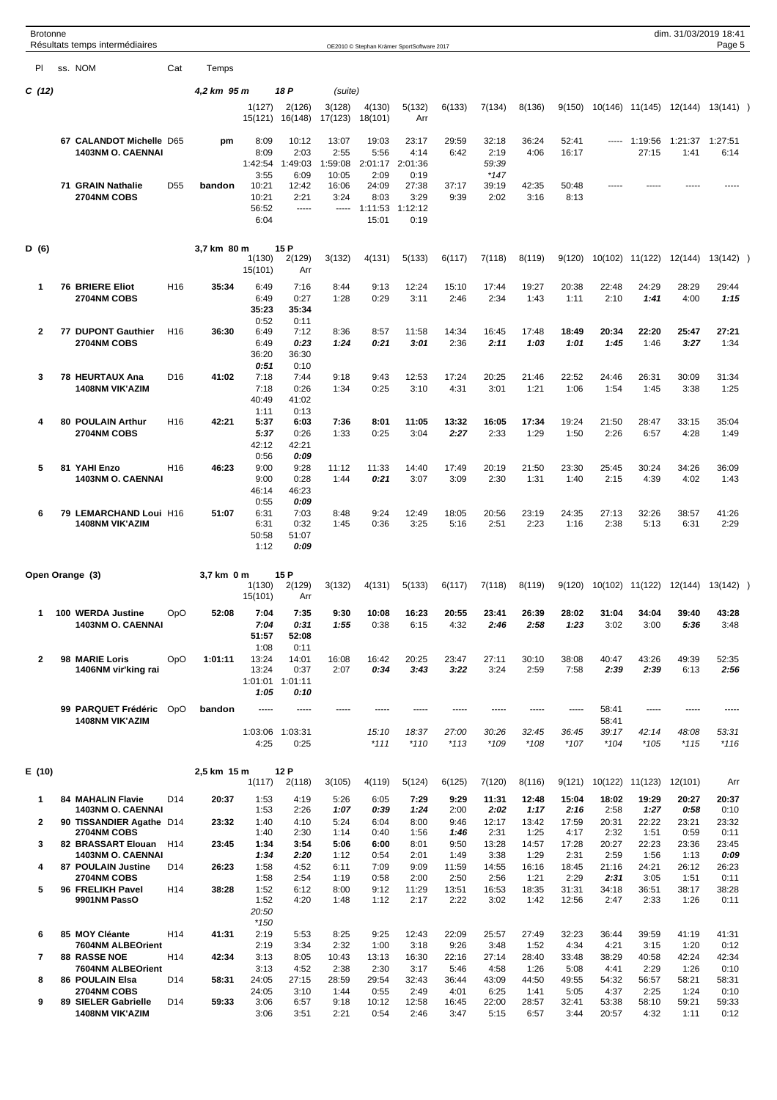| <b>Brotonne</b> | Résultats temps intermédiaires                                      |                 |             |                               |                               |                      |                          | OE2010 © Stephan Krämer SportSoftware 2017 |                       |                       |                       |                        |                       |                       | dim. 31/03/2019 18:41 | Page 5                |  |
|-----------------|---------------------------------------------------------------------|-----------------|-------------|-------------------------------|-------------------------------|----------------------|--------------------------|--------------------------------------------|-----------------------|-----------------------|-----------------------|------------------------|-----------------------|-----------------------|-----------------------|-----------------------|--|
| PI              | ss. NOM                                                             | Cat             | Temps       |                               |                               |                      |                          |                                            |                       |                       |                       |                        |                       |                       |                       |                       |  |
| C (12)          |                                                                     |                 | 4,2 km 95 m |                               | 18 P                          | (suite)              |                          |                                            |                       |                       |                       |                        |                       |                       |                       |                       |  |
|                 |                                                                     |                 |             | 1(127)<br>15(121)             | 2(126)<br>16(148)             | 3(128)<br>17(123)    | 4(130)<br>18(101)        | 5(132)<br>Arr                              | 6(133)                | 7(134)                | 8(136)                | 9(150)                 |                       | 10(146) 11(145)       | 12(144)               | 13(141)               |  |
|                 | 67 CALANDOT Michelle D65                                            |                 | pm          | 8:09                          | 10:12                         | 13:07                | 19:03                    | 23:17                                      | 29:59                 | 32:18                 | 36:24                 | 52:41                  | -----                 | 1:19:56               | 1:21:37 1:27:51       |                       |  |
|                 | 1403NM O. CAENNAI                                                   |                 |             | 8:09<br>1:42:54               | 2:03<br>1:49:03               | 2:55<br>1:59:08      | 5:56<br>2:01:17          | 4:14<br>2:01:36                            | 6:42                  | 2:19<br>59:39         | 4:06                  | 16:17                  |                       | 27:15                 | 1:41                  | 6:14                  |  |
|                 | 71 GRAIN Nathalie                                                   | D <sub>55</sub> | bandon      | 3:55<br>10:21                 | 6:09<br>12:42                 | 10:05<br>16:06       | 2:09<br>24:09            | 0:19<br>27:38                              | 37:17                 | $*147$<br>39:19       | 42:35                 | 50:48                  | -----                 |                       | -----                 | -----                 |  |
|                 | 2704NM COBS                                                         |                 |             | 10:21<br>56:52<br>6:04        | 2:21<br>-----                 | 3:24<br>-----        | 8:03<br>1:11:53<br>15:01 | 3:29<br>1:12:12<br>0:19                    | 9:39                  | 2:02                  | 3:16                  | 8:13                   |                       |                       |                       |                       |  |
|                 |                                                                     |                 |             |                               |                               |                      |                          |                                            |                       |                       |                       |                        |                       |                       |                       |                       |  |
| D (6)           |                                                                     |                 | 3,7 km 80 m | 1(130)<br>15(101)             | 15 P<br>2(129)<br>Arr         | 3(132)               | 4(131)                   | 5(133)                                     | 6(117)                | 7(118)                | 8(119)                | 9(120)                 | 10(102)               | 11(122)               | 12(144)               | $13(142)$ )           |  |
| $\mathbf 1$     | <b>76 BRIERE Eliot</b><br>2704NM COBS                               | H <sub>16</sub> | 35:34       | 6:49<br>6:49<br>35:23         | 7:16<br>0:27<br>35:34         | 8:44<br>1:28         | 9:13<br>0:29             | 12:24<br>3:11                              | 15:10<br>2:46         | 17:44<br>2:34         | 19:27<br>1:43         | 20:38<br>1:11          | 22:48<br>2:10         | 24:29<br>1:41         | 28:29<br>4:00         | 29:44<br>1:15         |  |
| $\overline{2}$  | 77 DUPONT Gauthier                                                  | H <sub>16</sub> | 36:30       | 0:52<br>6:49                  | 0:11<br>7:12                  | 8:36                 | 8:57                     | 11:58                                      | 14:34                 | 16:45                 | 17:48                 | 18:49                  | 20:34                 | 22:20                 | 25:47                 | 27:21                 |  |
|                 | 2704NM COBS                                                         |                 |             | 6:49<br>36:20<br>0:51         | 0:23<br>36:30<br>0:10         | 1:24                 | 0:21                     | 3:01                                       | 2:36                  | 2:11                  | 1:03                  | 1:01                   | 1:45                  | 1:46                  | 3:27                  | 1:34                  |  |
| 3               | 78 HEURTAUX Ana                                                     | D <sub>16</sub> | 41:02       | 7:18                          | 7:44                          | 9:18                 | 9:43                     | 12:53                                      | 17:24                 | 20:25                 | 21:46                 | 22:52                  | 24:46                 | 26:31                 | 30:09                 | 31:34                 |  |
|                 | <b>1408NM VIK'AZIM</b>                                              |                 |             | 7:18<br>40:49<br>1:11         | 0:26<br>41:02<br>0:13         | 1:34                 | 0:25                     | 3:10                                       | 4:31                  | 3:01                  | 1:21                  | 1:06                   | 1:54                  | 1:45                  | 3:38                  | 1:25                  |  |
| 4               | 80 POULAIN Arthur<br>2704NM COBS                                    | H <sub>16</sub> | 42:21       | 5:37<br>5:37<br>42:12         | 6:03<br>0:26<br>42:21         | 7:36<br>1:33         | 8:01<br>0:25             | 11:05<br>3:04                              | 13:32<br>2:27         | 16:05<br>2:33         | 17:34<br>1:29         | 19:24<br>1:50          | 21:50<br>2:26         | 28:47<br>6:57         | 33:15<br>4:28         | 35:04<br>1:49         |  |
| 5               | 81 YAHI Enzo                                                        | H <sub>16</sub> | 46:23       | 0:56<br>9:00                  | 0:09<br>9:28                  | 11:12                | 11:33                    | 14:40                                      | 17:49                 | 20:19                 | 21:50                 | 23:30                  | 25:45                 | 30:24                 | 34:26                 | 36:09                 |  |
|                 | <b>1403NM O. CAENNAI</b>                                            |                 |             | 9:00<br>46:14<br>0:55         | 0:28<br>46:23<br>0:09         | 1:44                 | 0:21                     | 3:07                                       | 3:09                  | 2:30                  | 1:31                  | 1:40                   | 2:15                  | 4:39                  | 4:02                  | 1:43                  |  |
| 6               | 79 LEMARCHAND Loui H16<br><b>1408NM VIK'AZIM</b>                    |                 | 51:07       | 6:31<br>6:31<br>50:58<br>1:12 | 7:03<br>0:32<br>51:07<br>0:09 | 8:48<br>1:45         | 9:24<br>0:36             | 12:49<br>3:25                              | 18:05<br>5:16         | 20:56<br>2:51         | 23:19<br>2:23         | 24:35<br>1:16          | 27:13<br>2:38         | 32:26<br>5:13         | 38:57<br>6:31         | 41:26<br>2:29         |  |
|                 | Open Orange (3)                                                     |                 | 3,7 km 0 m  |                               | 15 P                          |                      |                          |                                            |                       |                       |                       |                        |                       |                       |                       |                       |  |
|                 |                                                                     |                 |             | 1(130)<br>15(101)             | 2(129)<br>Arr                 | 3(132)               | 4(131)                   | 5(133)                                     | 6(117)                | 7(118)                | 8(119)                | 9(120)                 | 10(102)               | 11(122)               | 12(144)               | $13(142)$ )           |  |
| 1               | 100 WERDA Justine                                                   | OpO             | 52:08       | 7:04                          | 7:35                          | 9:30                 | 10:08                    | 16:23                                      | 20:55                 | 23:41                 | 26:39                 | 28:02                  | 31:04                 | 34:04                 | 39:40                 | 43:28                 |  |
|                 | 1403NM O. CAENNAI                                                   |                 |             | 7:04<br>51:57<br>1:08         | 0:31<br>52:08<br>0:11         | 1:55                 | 0:38                     | 6:15                                       | 4:32                  | 2:46                  | 2:58                  | 1:23                   | 3:02                  | 3:00                  | 5:36                  | 3:48                  |  |
| $\overline{2}$  | 98 MARIE Loris<br>1406NM vir'king rai                               | OpO             | 1:01:11     | 13:24<br>13:24<br>1:01:01     | 14:01<br>0:37<br>1:01:11      | 16:08<br>2:07        | 16:42<br>0:34            | 20:25<br>3:43                              | 23:47<br>3:22         | 27:11<br>3:24         | 30:10<br>2:59         | 38:08<br>7:58          | 40:47<br>2:39         | 43:26<br>2:39         | 49:39<br>6:13         | 52:35<br>2:56         |  |
|                 | 99 PARQUET Frédéric<br><b>1408NM VIK'AZIM</b>                       | OpO             | bandon      | 1:05<br>$- - - - -$           | 0:10<br>-----                 | -----                | -----                    | -----                                      | -----                 | -----                 | -----                 | $- - - - -$            | 58:41<br>58:41        | -----                 | -----                 |                       |  |
|                 |                                                                     |                 |             | 1:03:06<br>4:25               | 1:03:31<br>0:25               |                      | 15:10<br>$*111$          | 18:37<br>$*110$                            | 27:00<br>$*113$       | 30:26<br>$*109$       | 32:45<br>$*108$       | 36:45<br>$*107$        | 39:17<br>$*104$       | 42:14<br>$*105$       | 48:08<br>$*115$       | 53:31<br>$*116$       |  |
| E(10)           |                                                                     |                 | 2,5 km 15 m | 1(117)                        | 12 P<br>2(118)                | 3(105)               | 4(119)                   | 5(124)                                     | 6(125)                | 7(120)                | 8(116)                | 9(121)                 | 10(122)               | 11(123)               | 12(101)               | Arr                   |  |
| $\mathbf 1$     | <b>84 MAHALIN Flavie</b>                                            | D <sub>14</sub> | 20:37       | 1:53                          | 4:19                          | 5:26                 | 6:05                     | 7:29                                       | 9:29                  | 11:31                 | 12:48                 | 15:04                  | 18:02                 | 19:29                 | 20:27                 | 20:37                 |  |
| $\mathbf{2}$    | <b>1403NM O. CAENNAI</b><br>90 TISSANDIER Agathe D14<br>2704NM COBS |                 | 23:32       | 1:53<br>1:40<br>1:40          | 2:26<br>4:10<br>2:30          | 1:07<br>5:24<br>1:14 | 0:39<br>6:04<br>0:40     | 1:24<br>8:00<br>1:56                       | 2:00<br>9:46<br>1:46  | 2:02<br>12:17<br>2:31 | 1:17<br>13:42<br>1:25 | 2:16<br>17:59<br>4:17  | 2:58<br>20:31<br>2:32 | 1:27<br>22:22<br>1:51 | 0:58<br>23:21<br>0:59 | 0:10<br>23:32<br>0:11 |  |
| 3               | 82 BRASSART Elouan<br><b>1403NM O. CAENNAI</b>                      | H <sub>14</sub> | 23:45       | 1:34<br>1:34                  | 3:54<br>2:20                  | 5:06<br>1:12         | 6:00<br>0:54             | 8:01<br>2:01                               | 9:50<br>1:49          | 13:28<br>3:38         | 14:57<br>1:29         | 17:28<br>2:31          | 20:27<br>2:59         | 22:23<br>1:56         | 23:36<br>1:13         | 23:45<br>0:09         |  |
| 4               | <b>87 POULAIN Justine</b>                                           | D14             | 26:23       | 1:58                          | 4:52                          | 6:11                 | 7:09                     | 9:09                                       | 11:59                 | 14:55                 | 16:16                 | 18:45                  | 21:16                 | 24:21                 | 26:12                 | 26:23                 |  |
| 5               | 2704NM COBS<br>96 FRELIKH Pavel<br>9901NM PassO                     | H <sub>14</sub> | 38:28       | 1:58<br>1:52<br>1:52<br>20:50 | 2:54<br>6:12<br>4:20          | 1:19<br>8:00<br>1:48 | 0:58<br>9:12<br>1:12     | 2:00<br>11:29<br>2:17                      | 2:50<br>13:51<br>2:22 | 2:56<br>16:53<br>3:02 | 1:21<br>18:35<br>1:42 | 2:29<br>31:31<br>12:56 | 2:31<br>34:18<br>2:47 | 3:05<br>36:51<br>2:33 | 1:51<br>38:17<br>1:26 | 0:11<br>38:28<br>0:11 |  |
|                 |                                                                     |                 |             | $*150$                        |                               |                      |                          |                                            |                       |                       |                       |                        |                       |                       |                       |                       |  |
| 6               | 85 MOY Cléante<br>7604NM ALBEOrient                                 | H <sub>14</sub> | 41:31       | 2:19<br>2:19                  | 5:53<br>3:34                  | 8:25<br>2:32         | 9:25<br>1:00             | 12:43<br>3:18                              | 22:09<br>9:26         | 25:57<br>3:48         | 27:49<br>1:52         | 32:23<br>4:34          | 36:44<br>4:21         | 39:59<br>3:15         | 41:19<br>1:20         | 41:31<br>0:12         |  |
| $\overline{7}$  | <b>88 RASSE NOE</b><br>7604NM ALBEOrient                            | H <sub>14</sub> | 42:34       | 3:13<br>3:13                  | 8:05<br>4:52                  | 10:43<br>2:38        | 13:13<br>2:30            | 16:30<br>3:17                              | 22:16<br>5:46         | 27:14<br>4:58         | 28:40<br>1:26         | 33:48<br>5:08          | 38:29<br>4:41         | 40:58<br>2:29         | 42:24<br>1:26         | 42:34<br>0:10         |  |
| 8               | <b>86 POULAIN Elsa</b>                                              | D <sub>14</sub> | 58:31       | 24:05                         | 27:15                         | 28:59                | 29:54                    | 32:43                                      | 36:44                 | 43:09                 | 44:50                 | 49:55                  | 54:32                 | 56:57                 | 58:21                 | 58:31                 |  |
| 9               | 2704NM COBS<br>89 SIELER Gabrielle                                  | D14             | 59:33       | 24:05<br>3:06                 | 3:10<br>6:57                  | 1:44<br>9:18         | 0:55<br>10:12            | 2:49<br>12:58                              | 4:01<br>16:45         | 6:25<br>22:00         | 1:41<br>28:57         | 5:05<br>32:41          | 4:37<br>53:38         | 2:25<br>58:10         | 1:24<br>59:21         | 0:10<br>59:33         |  |
|                 | <b>1408NM VIK'AZIM</b>                                              |                 |             | 3:06                          | 3:51                          | 2:21                 | 0:54                     | 2:46                                       | 3:47                  | 5:15                  | 6:57                  | 3:44                   | 20:57                 | 4:32                  | 1:11                  | 0:12                  |  |